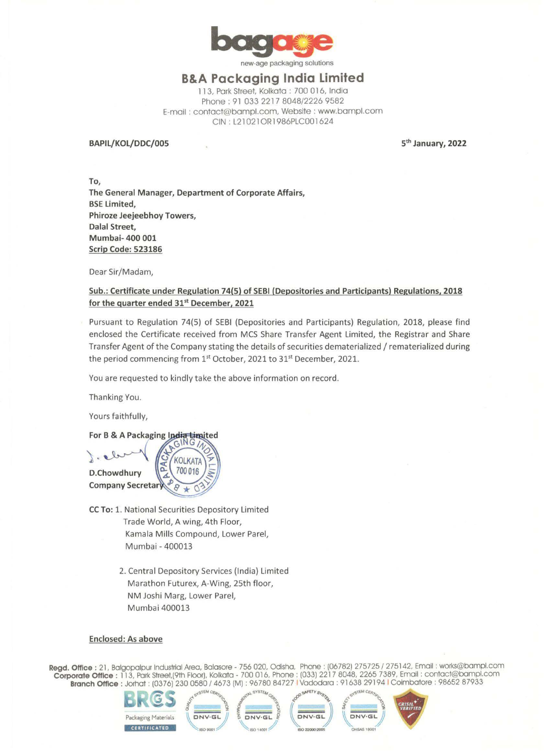

new-age packaging solutions

## **B&A Packaging India Limited**

113, Park Street, Kolkata : 700 016, India Phone: 91 033 2217 8048/2226 9582 E-mail : contact@bampl.com, Website : www.bampl.com CIN : L21 021 OR 1 986PLC00 1 624

**BAPIL/KOL/DDC/005** 

**5th January, 2022** 

**To, The General Manager, Department of Corporate Affairs, BSE Limited, Phiroze Jeejeebhoy Towers, Dalal Street, Mumbai- 400 001 Scrip Code: 523186** 

Dear Sir/Madam,

### **Sub.: Certificate under Regulation 74(5) of SEBI (Depositories and Participants) Regulations, 2018 for the quarter ended 31st December, 2021**

Pursuant to Regulation 74(5) of SEBI (Depositories and Participants) Regulation, 2018, please find enclosed the Certificate received from MCS Share Transfer Agent Limited, the Registrar and Share Transfer Agent of the Company stating the details of securities dematerialized/ rematerialized during the period commencing from 1<sup>st</sup> October, 2021 to 31<sup>st</sup> December, 2021.

You are requested to kindly take the above information on record.

Thanking You.

Yours faithfully,



- **CC To:** 1. National Securities Depository Limited Trade World, A wing, 4th Floor, Kamala Mills Compound, Lower Pare!, Mumbai - 400013
	- 2. Central Depository Services (India) Limited Marathon Futurex, A-Wing, 25th floor, NM Joshi Marg, Lower Pare!, Mumbai 400013

#### **Enclosed: As above**

**Regd. Office:** 21, Balgopalpur Industrial Area, Balasore - 756 020, Odisha, Phone: (06782) 275725 / 275142, Email: works@bampl.com **Corporate Office :** 113, Park Street,(9th Floor), Kolkata - 700 016, Phone: (033) 2217 8048, 2265 7389, Email : contact@bampl.com